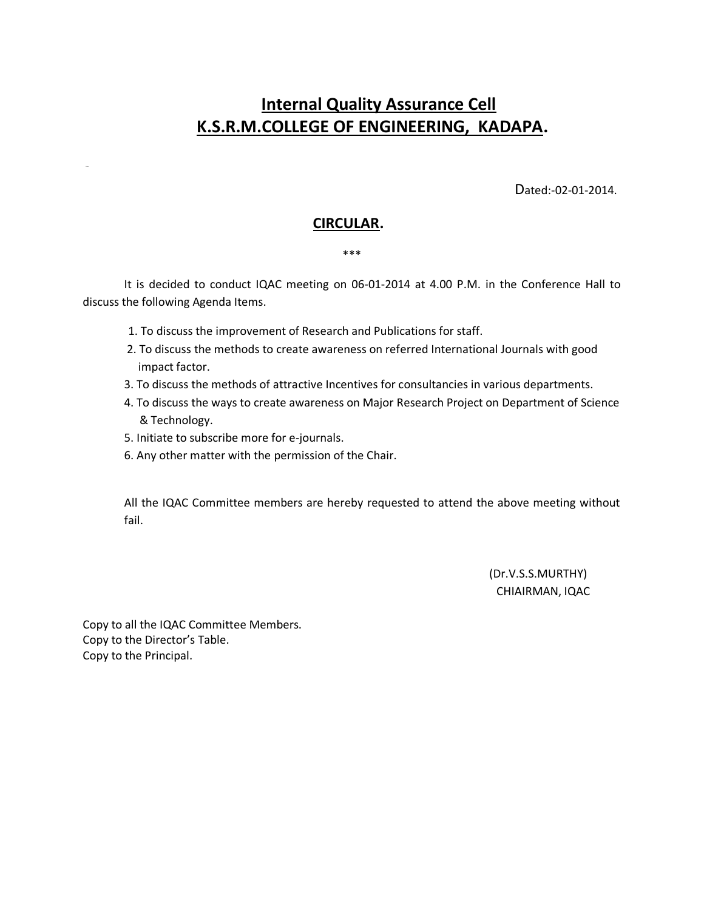# **Internal Quality Assurance Cell K.S.R.M.COLLEGE OF ENGINEERING, KADAPA.**

Dated:-02-01-2014.

### **CIRCULAR.**

#### \*\*\*

 It is decided to conduct IQAC meeting on 06-01-2014 at 4.00 P.M. in the Conference Hall to discuss the following Agenda Items.

- 1. To discuss the improvement of Research and Publications for staff.
- 2. To discuss the methods to create awareness on referred International Journals with good impact factor.
- 3. To discuss the methods of attractive Incentives for consultancies in various departments.
- 4. To discuss the ways to create awareness on Major Research Project on Department of Science & Technology.
- 5. Initiate to subscribe more for e-journals.

NNN<sub>D</sub>

6. Any other matter with the permission of the Chair.

All the IQAC Committee members are hereby requested to attend the above meeting without fail.

> (Dr.V.S.S.MURTHY) CHIAIRMAN, IQAC

Copy to all the IQAC Committee Members. Copy to the Director's Table. Copy to the Principal.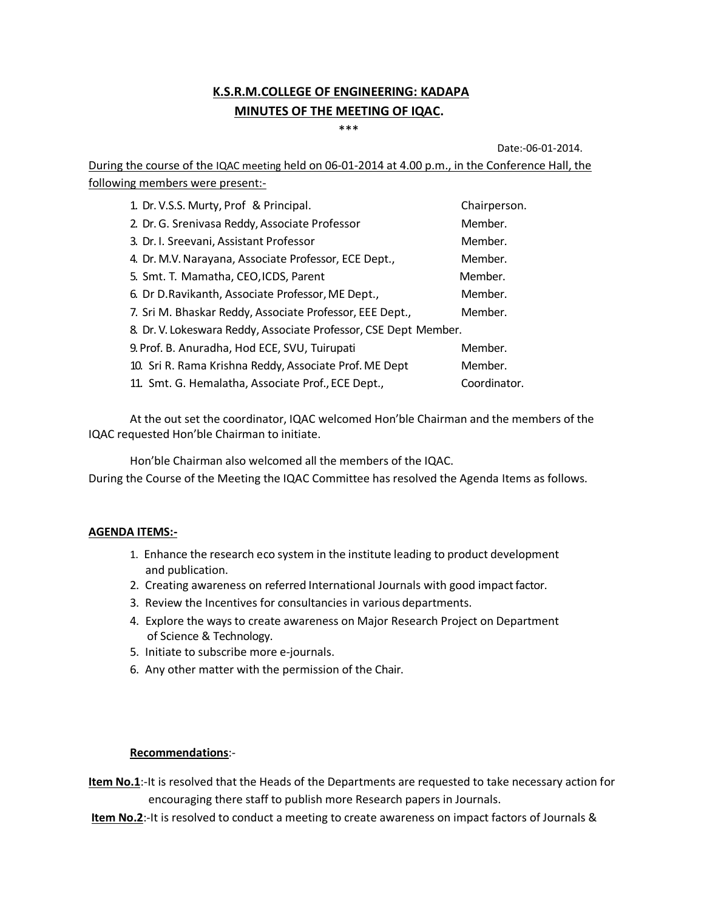## **K.S.R.M.COLLEGE OF ENGINEERING: KADAPA MINUTES OF THE MEETING OF IQAC.**

\*\*\*

Date:-06-01-2014.

During the course of the IQAC meeting held on 06-01-2014 at 4.00 p.m., in the Conference Hall, the following members were present:-

| 1. Dr. V.S.S. Murty, Prof & Principal.                           | Chairperson. |
|------------------------------------------------------------------|--------------|
| 2. Dr. G. Srenivasa Reddy, Associate Professor                   | Member.      |
| 3. Dr. I. Sreevani, Assistant Professor                          | Member.      |
| 4. Dr. M.V. Narayana, Associate Professor, ECE Dept.,            | Member.      |
| 5. Smt. T. Mamatha, CEO, ICDS, Parent                            | Member.      |
| 6. Dr D. Ravikanth, Associate Professor, ME Dept.,               | Member.      |
| 7. Sri M. Bhaskar Reddy, Associate Professor, EEE Dept.,         | Member.      |
| 8. Dr. V. Lokeswara Reddy, Associate Professor, CSE Dept Member. |              |
| 9. Prof. B. Anuradha, Hod ECE, SVU, Tuirupati                    | Member.      |
| 10. Sri R. Rama Krishna Reddy, Associate Prof. ME Dept           | Member.      |
| 11. Smt. G. Hemalatha, Associate Prof., ECE Dept.,               | Coordinator. |

At the out set the coordinator, IQAC welcomed Hon'ble Chairman and the members of the IQAC requested Hon'ble Chairman to initiate.

Hon'ble Chairman also welcomed all the members of the IQAC. During the Course of the Meeting the IQAC Committee has resolved the Agenda Items as follows.

### **AGENDA ITEMS:-**

- 1. Enhance the research eco system in the institute leading to product development and publication.
- 2. Creating awareness on referred International Journals with good impact factor.
- 3. Review the Incentives for consultancies in various departments.
- 4. Explore the ways to create awareness on Major Research Project on Department of Science & Technology.
- 5. Initiate to subscribe more e-journals.
- 6. Any other matter with the permission of the Chair.

### **Recommendations**:-

**Item No.1**:-It is resolved that the Heads of the Departments are requested to take necessary action for encouraging there staff to publish more Research papers in Journals.

**Item No.2**:-It is resolved to conduct a meeting to create awareness on impact factors of Journals &